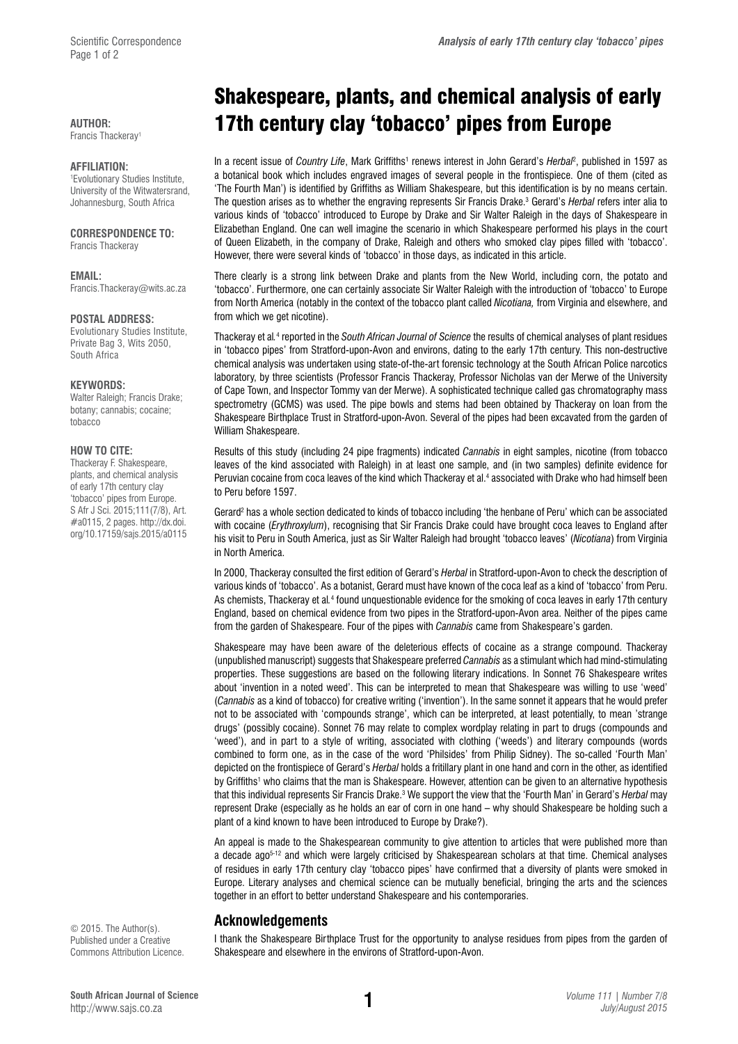#### **AUTHOR:**

Francis Thackeray1

#### **AFFILIATION:**

1 Evolutionary Studies Institute, University of the Witwatersrand, Johannesburg, South Africa

#### **CORRESPONDENCE TO:**

Francis Thackeray

#### **EMAIL:**

[Francis.Thackeray@wits.ac.za](mailto:Francis.Thackeray%40wits.ac.za?subject=)

#### **POSTAL ADDRESS:**

Evolutionary Studies Institute, Private Bag 3, Wits 2050, South Africa

#### **KEYWORDS:**

Walter Raleigh; Francis Drake; botany; cannabis; cocaine; tobacco

#### **HOW TO CITE:**

Thackeray F. Shakespeare, plants, and chemical analysis of early 17th century clay 'tobacco' pipes from Europe. S Afr J Sci. 2015;111(7/8), Art. #a0115, 2 pages. [http://dx.doi.](http://dx.doi.org/10.17159/sajs.2015/a0115) [org/10.17159/sajs.2015/a0115](http://dx.doi.org/10.17159/sajs.2015/a0115)

© 2015. The Author(s). Published under a Creative Commons Attribution Licence.

# Shakespeare, plants, and chemical analysis of early 17th century clay 'tobacco' pipes from Europe

In a recent issue of *Country Life*, Mark Griffiths<sup>1</sup> renews interest in John Gerard's *Herbal<sup>2</sup>,* published in 1597 as a botanical book which includes engraved images of several people in the frontispiece. One of them (cited as 'The Fourth Man') is identified by Griffiths as William Shakespeare, but this identification is by no means certain. The question arises as to whether the engraving represents Sir Francis Drake.3 Gerard's *Herbal* refers inter alia to various kinds of 'tobacco' introduced to Europe by Drake and Sir Walter Raleigh in the days of Shakespeare in Elizabethan England. One can well imagine the scenario in which Shakespeare performed his plays in the court of Queen Elizabeth, in the company of Drake, Raleigh and others who smoked clay pipes filled with 'tobacco'. However, there were several kinds of 'tobacco' in those days, as indicated in this article.

There clearly is a strong link between Drake and plants from the New World, including corn, the potato and 'tobacco'. Furthermore, one can certainly associate Sir Walter Raleigh with the introduction of 'tobacco' to Europe from North America (notably in the context of the tobacco plant called *Nicotiana,* from Virginia and elsewhere, and from which we get nicotine).

Thackeray et al.<sup>4</sup> reported in the *South African Journal of Science* the results of chemical analyses of plant residues in 'tobacco pipes' from Stratford-upon-Avon and environs, dating to the early 17th century. This non-destructive chemical analysis was undertaken using state-of-the-art forensic technology at the South African Police narcotics laboratory, by three scientists (Professor Francis Thackeray, Professor Nicholas van der Merwe of the University of Cape Town, and Inspector Tommy van der Merwe). A sophisticated technique called gas chromatography mass spectrometry (GCMS) was used. The pipe bowls and stems had been obtained by Thackeray on loan from the Shakespeare Birthplace Trust in Stratford-upon-Avon. Several of the pipes had been excavated from the garden of William Shakespeare.

Results of this study (including 24 pipe fragments) indicated *Cannabis* in eight samples, nicotine (from tobacco leaves of the kind associated with Raleigh) in at least one sample, and (in two samples) definite evidence for Peruvian cocaine from coca leaves of the kind which Thackeray et al.4 associated with Drake who had himself been to Peru before 1597.

Gerard2 has a whole section dedicated to kinds of tobacco including 'the henbane of Peru' which can be associated with cocaine (*Erythroxylum*), recognising that Sir Francis Drake could have brought coca leaves to England after his visit to Peru in South America, just as Sir Walter Raleigh had brought 'tobacco leaves' (*Nicotiana*) from Virginia in North America.

In 2000, Thackeray consulted the first edition of Gerard's *Herbal* in Stratford-upon-Avon to check the description of various kinds of 'tobacco'. As a botanist, Gerard must have known of the coca leaf as a kind of 'tobacco' from Peru. As chemists, Thackeray et al.<sup>4</sup> found unquestionable evidence for the smoking of coca leaves in early 17th century England, based on chemical evidence from two pipes in the Stratford-upon-Avon area. Neither of the pipes came from the garden of Shakespeare. Four of the pipes with *Cannabis* came from Shakespeare's garden.

Shakespeare may have been aware of the deleterious effects of cocaine as a strange compound. Thackeray (unpublished manuscript) suggests that Shakespeare preferred *Cannabis* as a stimulant which had mind-stimulating properties. These suggestions are based on the following literary indications. In Sonnet 76 Shakespeare writes about 'invention in a noted weed'. This can be interpreted to mean that Shakespeare was willing to use 'weed' (*Cannabis* as a kind of tobacco) for creative writing ('invention'). In the same sonnet it appears that he would prefer not to be associated with 'compounds strange', which can be interpreted, at least potentially, to mean 'strange drugs' (possibly cocaine). Sonnet 76 may relate to complex wordplay relating in part to drugs (compounds and 'weed'), and in part to a style of writing, associated with clothing ('weeds') and literary compounds (words combined to form one, as in the case of the word 'Philsides' from Philip Sidney). The so-called 'Fourth Man' depicted on the frontispiece of Gerard's *Herbal* holds a fritillary plant in one hand and corn in the other, as identified by Griffiths' who claims that the man is Shakespeare. However, attention can be given to an alternative hypothesis that this individual represents Sir Francis Drake.<sup>3</sup> We support the view that the 'Fourth Man' in Gerard's *Herbal* may represent Drake (especially as he holds an ear of corn in one hand – why should Shakespeare be holding such a plant of a kind known to have been introduced to Europe by Drake?).

An appeal is made to the Shakespearean community to give attention to articles that were published more than a decade ago<sup>5-12</sup> and which were largely criticised by Shakespearean scholars at that time. Chemical analyses of residues in early 17th century clay 'tobacco pipes' have confirmed that a diversity of plants were smoked in Europe. Literary analyses and chemical science can be mutually beneficial, bringing the arts and the sciences together in an effort to better understand Shakespeare and his contemporaries.

### **Acknowledgements**

I thank the Shakespeare Birthplace Trust for the opportunity to analyse residues from pipes from the garden of Shakespeare and elsewhere in the environs of Stratford-upon-Avon.